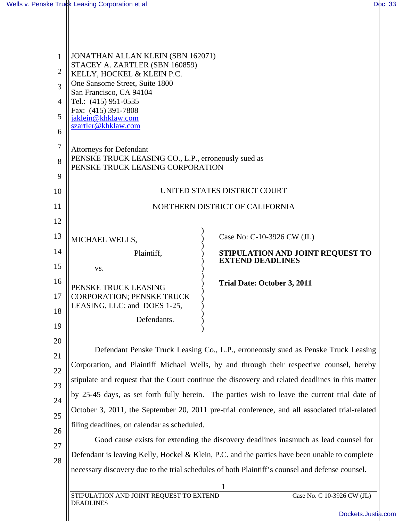| $\mathbf{1}$   | JONATHAN ALLAN KLEIN (SBN 162071)<br>STACEY A. ZARTLER (SBN 160859)<br>KELLY, HOCKEL & KLEIN P.C.                                                                                                                                              |                                                                                                 |  |  |  |  |
|----------------|------------------------------------------------------------------------------------------------------------------------------------------------------------------------------------------------------------------------------------------------|-------------------------------------------------------------------------------------------------|--|--|--|--|
| $\overline{2}$ |                                                                                                                                                                                                                                                |                                                                                                 |  |  |  |  |
| 3              | One Sansome Street, Suite 1800<br>San Francisco, CA 94104<br>Tel.: (415) 951-0535<br>Fax: (415) 391-7808<br>jaklein@khklaw.com<br>szartler@khklaw.com                                                                                          |                                                                                                 |  |  |  |  |
| $\overline{4}$ |                                                                                                                                                                                                                                                |                                                                                                 |  |  |  |  |
| 5              |                                                                                                                                                                                                                                                |                                                                                                 |  |  |  |  |
| 6              |                                                                                                                                                                                                                                                |                                                                                                 |  |  |  |  |
| 7              | <b>Attorneys for Defendant</b><br>PENSKE TRUCK LEASING CO., L.P., erroneously sued as<br>PENSKE TRUCK LEASING CORPORATION                                                                                                                      |                                                                                                 |  |  |  |  |
| 8              |                                                                                                                                                                                                                                                |                                                                                                 |  |  |  |  |
| 9              |                                                                                                                                                                                                                                                |                                                                                                 |  |  |  |  |
| 10             | UNITED STATES DISTRICT COURT                                                                                                                                                                                                                   |                                                                                                 |  |  |  |  |
| 11             | NORTHERN DISTRICT OF CALIFORNIA                                                                                                                                                                                                                |                                                                                                 |  |  |  |  |
| 12             |                                                                                                                                                                                                                                                |                                                                                                 |  |  |  |  |
| 13             | MICHAEL WELLS,                                                                                                                                                                                                                                 | Case No: C-10-3926 CW (JL)                                                                      |  |  |  |  |
| 14             | Plaintiff,                                                                                                                                                                                                                                     | STIPULATION AND JOINT REQUEST TO<br><b>EXTEND DEADLINES</b>                                     |  |  |  |  |
| 15             | VS.                                                                                                                                                                                                                                            |                                                                                                 |  |  |  |  |
| 16             | PENSKE TRUCK LEASING                                                                                                                                                                                                                           | Trial Date: October 3, 2011                                                                     |  |  |  |  |
| 17<br>18       | <b>CORPORATION; PENSKE TRUCK</b><br>LEASING, LLC; and DOES 1-25,                                                                                                                                                                               |                                                                                                 |  |  |  |  |
| 19             | Defendants.                                                                                                                                                                                                                                    |                                                                                                 |  |  |  |  |
| 20             |                                                                                                                                                                                                                                                |                                                                                                 |  |  |  |  |
| 21             |                                                                                                                                                                                                                                                | Defendant Penske Truck Leasing Co., L.P., erroneously sued as Penske Truck Leasing              |  |  |  |  |
| 22             | Corporation, and Plaintiff Michael Wells, by and through their respective counsel, hereby                                                                                                                                                      |                                                                                                 |  |  |  |  |
| 23             | stipulate and request that the Court continue the discovery and related deadlines in this matter                                                                                                                                               |                                                                                                 |  |  |  |  |
| 24             | by 25-45 days, as set forth fully herein. The parties wish to leave the current trial date of<br>October 3, 2011, the September 20, 2011 pre-trial conference, and all associated trial-related<br>filing deadlines, on calendar as scheduled. |                                                                                                 |  |  |  |  |
| 25             |                                                                                                                                                                                                                                                |                                                                                                 |  |  |  |  |
| 26             |                                                                                                                                                                                                                                                |                                                                                                 |  |  |  |  |
| 27             |                                                                                                                                                                                                                                                | Good cause exists for extending the discovery deadlines inasmuch as lead counsel for            |  |  |  |  |
| 28             | Defendant is leaving Kelly, Hockel & Klein, P.C. and the parties have been unable to complete                                                                                                                                                  |                                                                                                 |  |  |  |  |
|                |                                                                                                                                                                                                                                                | necessary discovery due to the trial schedules of both Plaintiff's counsel and defense counsel. |  |  |  |  |
|                | $\mathbf{1}$                                                                                                                                                                                                                                   |                                                                                                 |  |  |  |  |
|                | STIPULATION AND JOINT REQUEST TO EXTEND<br><b>DEADLINES</b>                                                                                                                                                                                    | Case No. C 10-3926 CW (JL)                                                                      |  |  |  |  |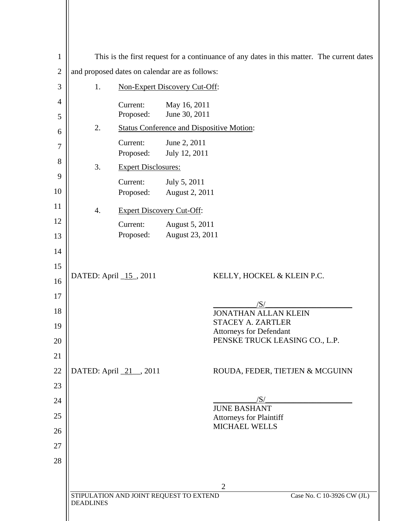| $\mathbf{1}$   | This is the first request for a continuance of any dates in this matter. The current dates                  |                                                  |                                |                                                            |  |  |
|----------------|-------------------------------------------------------------------------------------------------------------|--------------------------------------------------|--------------------------------|------------------------------------------------------------|--|--|
| $\overline{2}$ | and proposed dates on calendar are as follows:                                                              |                                                  |                                |                                                            |  |  |
| 3              | 1.                                                                                                          | <b>Non-Expert Discovery Cut-Off:</b>             |                                |                                                            |  |  |
| 4<br>5         |                                                                                                             | Current:<br>Proposed:                            | May 16, 2011<br>June 30, 2011  |                                                            |  |  |
| 6              | 2.                                                                                                          | <b>Status Conference and Dispositive Motion:</b> |                                |                                                            |  |  |
| 7              |                                                                                                             | Current:<br>Proposed:                            | June 2, 2011<br>July 12, 2011  |                                                            |  |  |
| 8              | 3.                                                                                                          | <b>Expert Disclosures:</b>                       |                                |                                                            |  |  |
| 9<br>10        |                                                                                                             | Current:<br>Proposed:                            | July 5, 2011<br>August 2, 2011 |                                                            |  |  |
| 11             | 4.                                                                                                          | <b>Expert Discovery Cut-Off:</b>                 |                                |                                                            |  |  |
| 12             |                                                                                                             | Current:                                         | August 5, 2011                 |                                                            |  |  |
| 13             |                                                                                                             | Proposed:                                        | August 23, 2011                |                                                            |  |  |
| 14             |                                                                                                             |                                                  |                                |                                                            |  |  |
| 15             |                                                                                                             |                                                  |                                |                                                            |  |  |
| 16             | DATED: April 15, 2011                                                                                       |                                                  |                                | KELLY, HOCKEL & KLEIN P.C.                                 |  |  |
| 17             |                                                                                                             |                                                  |                                | /S/                                                        |  |  |
| 18             |                                                                                                             |                                                  |                                | <b>JONATHAN ALLAN KLEIN</b>                                |  |  |
| 19             |                                                                                                             |                                                  |                                | <b>STACEY A. ZARTLER</b><br><b>Attorneys for Defendant</b> |  |  |
| 20             |                                                                                                             |                                                  |                                | PENSKE TRUCK LEASING CO., L.P.                             |  |  |
| 21             |                                                                                                             |                                                  |                                |                                                            |  |  |
| 22             |                                                                                                             | DATED: April 21, 2011                            |                                | ROUDA, FEDER, TIETJEN & MCGUINN                            |  |  |
| 23             |                                                                                                             |                                                  |                                |                                                            |  |  |
| 24             |                                                                                                             |                                                  |                                | /S/<br><b>JUNE BASHANT</b>                                 |  |  |
| 25             |                                                                                                             |                                                  |                                | <b>Attorneys for Plaintiff</b>                             |  |  |
| 26             |                                                                                                             |                                                  |                                | MICHAEL WELLS                                              |  |  |
| 27             |                                                                                                             |                                                  |                                |                                                            |  |  |
| 28             |                                                                                                             |                                                  |                                |                                                            |  |  |
|                |                                                                                                             |                                                  |                                |                                                            |  |  |
|                | $\overline{2}$<br>STIPULATION AND JOINT REQUEST TO EXTEND<br>Case No. C 10-3926 CW (JL)<br><b>DEADLINES</b> |                                                  |                                |                                                            |  |  |
|                |                                                                                                             |                                                  |                                |                                                            |  |  |